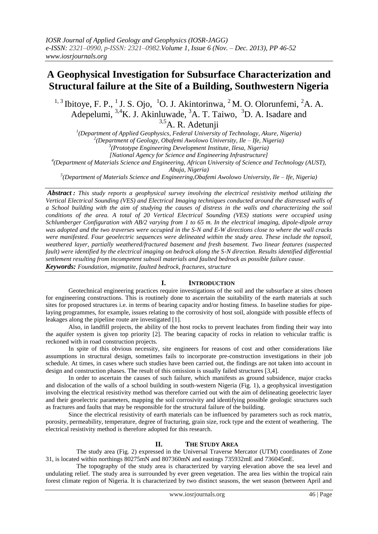# **A Geophysical Investigation for Subsurface Characterization and Structural failure at the Site of a Building, Southwestern Nigeria**

<sup>1, 3</sup> Ibitoye, F. P., <sup>1</sup> J. S. Ojo, <sup>1</sup>O. J. Akintorinwa, <sup>2</sup> M. O. Olorunfemi, <sup>2</sup>A. A. Adepelumi, 3,4K. J. Akinluwade, <sup>3</sup>A. T. Taiwo, <sup>3</sup>D. A. Isadare and  $3.5$ A. R. Adetunii

*1 (Department of Applied Geophysics, Federal University of Technology, Akure, Nigeria)*

*2 (Department of Geology, Obafemi Awolowo University, Ile – Ife, Nigeria)*

*3 (Prototype Engineering Development Institute, Ilesa, Nigeria)*

*[National Agency for Science and Engineering Infrastructure]*

*4 (Department of Materials Science and Engineering, African University of Science and Technology (AUST),* 

*Abuja, Nigeria)*

*5 (Department of Materials Science and Engineering,Obafemi Awolowo University, Ile – Ife, Nigeria)*

*Abstract : This study reports a geophysical survey involving the electrical resistivity method utilizing the Vertical Electrical Sounding (VES) and Electrical Imaging techniques conducted around the distressed walls of a School building with the aim of studying the causes of distress in the walls and characterizing the soil conditions of the area. A total of 20 Vertical Electrical Sounding (VES) stations were occupied using Schlumberger Configuration with AB/2 varying from 1 to 65 m. In the electrical imaging, dipole-dipole array was adopted and the two traverses were occupied in the S-N and E-W directions close to where the wall cracks were manifested. Four geoelectric sequences were delineated within the study area. These include the topsoil, weathered layer, partially weathered/fractured basement and fresh basement. Two linear features (suspected*  fault) were identified by the electrical imaging on bedrock along the S-N direction. Results identified differential *settlement resulting from incompetent subsoil materials and faulted bedrock as possible failure cause. Keywords: Foundation, migmatite, faulted bedrock, fractures, structure*

## **I. INTRODUCTION**

Geotechnical engineering practices require investigations of the soil and the subsurface at sites chosen for engineering constructions. This is routinely done to ascertain the suitability of the earth materials at such sites for proposed structures i.e. in terms of bearing capacity and/or hosting fitness. In baseline studies for pipelaying programmes, for example, issues relating to the corrosivity of host soil, alongside with possible effects of leakages along the pipeline route are investigated [1].

Also, in landfill projects, the ability of the host rocks to prevent leachates from finding their way into the aquifer system is given top priority [2]. The bearing capacity of rocks in relation to vehicular traffic is reckoned with in road construction projects.

In spite of this obvious necessity, site engineers for reasons of cost and other considerations like assumptions in structural design, sometimes fails to incorporate pre-construction investigations in their job schedule. At times, in cases where such studies have been carried out, the findings are not taken into account in design and construction phases. The result of this omission is usually failed structures [3,4].

In order to ascertain the causes of such failure, which manifests as ground subsidence, major cracks and dislocation of the walls of a school building in south-western Nigeria (Fig. 1), a geophysical investigation involving the electrical resistivity method was therefore carried out with the aim of delineating geoelectric layer and their geoelectric parameters, mapping the soil corrosivity and identifying possible geologic structures such as fractures and faults that may be responsible for the structural failure of the building.

Since the electrical resistivity of earth materials can be influenced by parameters such as rock matrix, porosity, permeability, temperature, degree of fracturing, grain size, rock type and the extent of weathering. The electrical resistivity method is therefore adopted for this research.

## **II. THE STUDY AREA**

The study area (Fig. 2) expressed in the Universal Traverse Mercator (UTM) coordinates of Zone 31, is located within northings 80275mN and 807360mN and eastings 735932mE and 736045mE.

The topography of the study area is characterized by varying elevation above the sea level and undulating relief. The study area is surrounded by ever green vegetation. The area lies within the tropical rain forest climate region of Nigeria. It is characterized by two distinct seasons, the wet season (between April and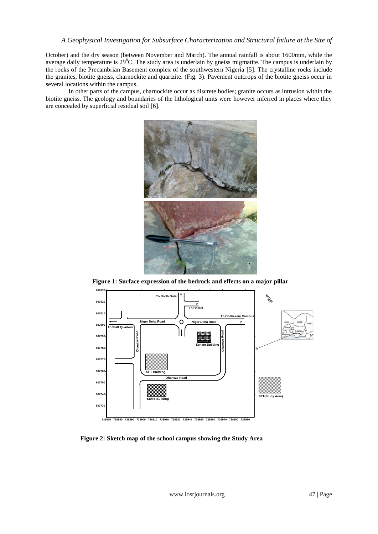October) and the dry season (between November and March). The annual rainfall is about 1600mm, while the average daily temperature is  $29^{\circ}$ C. The study area is underlain by gneiss migmatite. The campus is underlain by the rocks of the Precambrian Basement complex of the southwestern Nigeria [5]. The crystalline rocks include the granites, biotite gneiss, charnockite and quartzite. (Fig. 3). Pavement outcrops of the biotite gneiss occur in several locations within the campus.

In other parts of the campus, charnockite occur as discrete bodies; granite occurs as intrusion within the biotite gneiss. The geology and boundaries of the lithological units were however inferred in places where they are concealed by superficial residual soil [6].



**Figure 1: Surface expression of the bedrock and effects on a major pillar**



**Figure 2: Sketch map of the school campus showing the Study Area**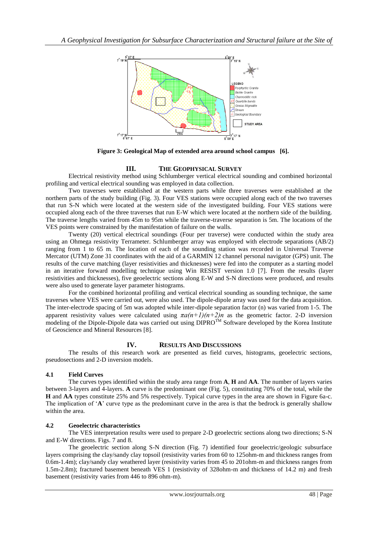

 **Figure 3: Geological Map of extended area around school campus [6].**

# **III. THE GEOPHYSICAL SURVEY**

Electrical resistivity method using Schlumberger vertical electrical sounding and combined horizontal profiling and vertical electrical sounding was employed in data collection.

Two traverses were established at the western parts while three traverses were established at the northern parts of the study building (Fig. 3). Four VES stations were occupied along each of the two traverses that run S-N which were located at the western side of the investigated building. Four VES stations were occupied along each of the three traverses that run E-W which were located at the northern side of the building. The traverse lengths varied from 45m to 95m while the traverse-traverse separation is 5m. The locations of the VES points were constrained by the manifestation of failure on the walls.

Twenty (20) vertical electrical soundings (Four per traverse) were conducted within the study area using an Ohmega resistivity Terrameter. Schlumberger array was employed with electrode separations (AB/2) ranging from 1 to 65 m. The location of each of the sounding station was recorded in Universal Traverse Mercator (UTM) Zone 31 coordinates with the aid of a GARMIN 12 channel personal navigator (GPS) unit. The results of the curve matching (layer resistivities and thicknesses) were fed into the computer as a starting model in an iterative forward modelling technique using Win RESIST version 1.0 [7]. From the results (layer resistivities and thicknesses), five geoelectric sections along E-W and S-N directions were produced, and results were also used to generate layer parameter histograms.

For the combined horizontal profiling and vertical electrical sounding as sounding technique, the same traverses where VES were carried out, were also used. The dipole-dipole array was used for the data acquisition. The inter-electrode spacing of 5m was adopted while inter-dipole separation factor (n) was varied from 1-5. The apparent resistivity values were calculated using  $\pi a(n+1)(n+2)n$  as the geometric factor. 2-D inversion modeling of the Dipole-Dipole data was carried out using DIPRO<sup>TM</sup> Software developed by the Korea Institute of Geoscience and Mineral Resources [8].

# **IV. RESULTS AND DISCUSSIONS**

The results of this research work are presented as field curves, histograms, geoelectric sections, pseudosections and 2-D inversion models.

## **4.1 Field Curves**

The curves types identified within the study area range from **A**, **H** and **AA**. The number of layers varies between 3-layers and 4-layers. **A** curve is the predominant one (Fig. 5), constituting 70% of the total, while the **H** and **AA** types constitute 25% and 5% respectively. Typical curve types in the area are shown in Figure 6a-c. The implication of '**A**' curve type as the predominant curve in the area is that the bedrock is generally shallow within the area.

## **4.2 Geoelectric characteristics**

The VES interpretation results were used to prepare 2-D geoelectric sections along two directions; S-N and E-W directions. Figs. 7 and 8.

The geoelectric section along S-N direction (Fig. 7) identified four geoelectric/geologic subsurface layers comprising the clay/sandy clay topsoil (resistivity varies from 60 to 125ohm-m and thickness ranges from 0.6m-1.4m); clay/sandy clay weathered layer (resistivity varies from 45 to 201ohm-m and thickness ranges from 1.5m-2.8m); fractured basement beneath VES 1 (resistivity of 328ohm-m and thickness of 14.2 m) and fresh basement (resistivity varies from 446 to 896 ohm-m).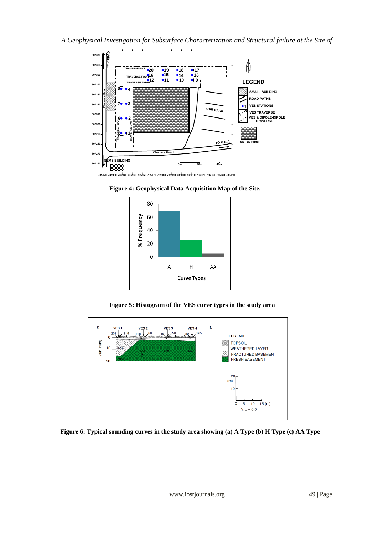









**Figure 6: Typical sounding curves in the study area showing (a) A Type (b) H Type (c) AA Type**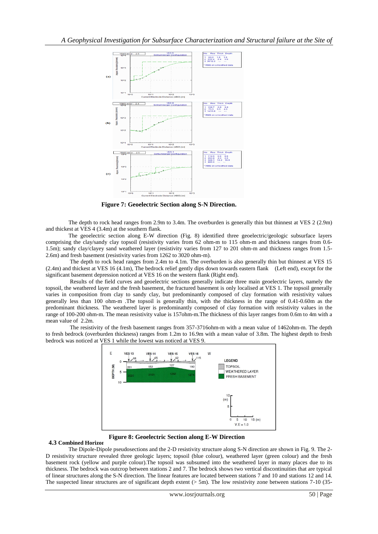

**Figure 7: Geoelectric Section along S-N Direction.**

The depth to rock head ranges from 2.9m to 3.4m. The overburden is generally thin but thinnest at VES 2 (2.9m) and thickest at VES 4 (3.4m) at the southern flank.

The geoelectric section along E-W direction (Fig. 8) identified three geoelectric/geologic subsurface layers comprising the clay/sandy clay topsoil (resistivity varies from 62 ohm-m to 115 ohm-m and thickness ranges from 0.6- 1.5m); sandy clay/clayey sand weathered layer (resistivity varies from 127 to 201 ohm-m and thickness ranges from 1.5- 2.6m) and fresh basement (resistivity varies from 1262 to 3020 ohm-m).

The depth to rock head ranges from 2.4m to 4.1m. The overburden is also generally thin but thinnest at VES 15 (2.4m) and thickest at VES 16 (4.1m), The bedrock relief gently dips down towards eastern flank (Left end), except for the significant basement depression noticed at VES 16 on the western flank (Right end).

Results of the field curves and geoelectric sections generally indicate three main geoelectric layers, namely the topsoil, the weathered layer and the fresh basement, the fractured basement is only localised at VES 1. The topsoil generally varies in composition from clay to sandy clay, but predominantly composed of clay formation with resistivity values generally less than 100 ohm-m .The topsoil is generally thin, with the thickness in the range of 0.41-0.60m as the predominant thickness. The weathered layer is predominantly composed of clay formation with resistivity values in the range of 100-200 ohm-m. The mean resistivity value is 157ohm-m.The thickness of this layer ranges from 0.6m to 4m with a mean value of 2.2m.

The resistivity of the fresh basement ranges from 357-3716ohm-m with a mean value of 1462ohm-m. The depth to fresh bedrock (overburden thickness) ranges from 1.2m to 16.9m with a mean value of 3.8m. The highest depth to fresh bedrock was noticed at VES 1 while the lowest was noticed at VES 9.



**Figure 8: Geoelectric Section along E-W Direction**

#### **4.3 Combined Horizon**

The Dipole-Dipole pseudosections and the 2-D resistivity structure along S-N direction are shown in Fig. 9. The 2- D resistivity structure revealed three geologic layers; topsoil (blue colour), weathered layer (green colour) and the fresh basement rock (yellow and purple colour).The topsoil was subsumed into the weathered layer in many places due to its thickness. The bedrock was outcrop between stations 2 and 7. The bedrock shows two vertical discontinuities that are typical of linear structures along the S-N direction. The linear features are located between stations 7 and 10 and stations 12 and 14. The suspected linear structures are of significant depth extent  $(> 5m)$ . The low resistivity zone between stations 7-10 (35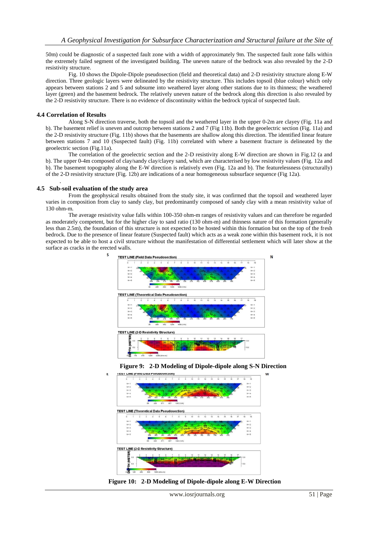50m) could be diagnostic of a suspected fault zone with a width of approximately 9m. The suspected fault zone falls within the extremely failed segment of the investigated building. The uneven nature of the bedrock was also revealed by the 2-D resistivity structure.

Fig. 10 shows the Dipole-Dipole pseudosection (field and theoretical data) and 2-D resistivity structure along E-W direction. Three geologic layers were delineated by the resistivity structure. This includes topsoil (blue colour) which only appears between stations 2 and 5 and subsume into weathered layer along other stations due to its thinness; the weathered layer (green) and the basement bedrock. The relatively uneven nature of the bedrock along this direction is also revealed by the 2-D resistivity structure. There is no evidence of discontinuity within the bedrock typical of suspected fault.

#### **4.4 Correlation of Results**

Along S-N direction traverse, both the topsoil and the weathered layer in the upper 0-2m are clayey (Fig. 11a and b). The basement relief is uneven and outcrop between stations 2 and 7 (Fig 11b). Both the geoelectric section (Fig. 11a) and the 2-D resistivity structure (Fig. 11b) shows that the basements are shallow along this direction. The identified linear feature between stations 7 and 10 (Suspected fault) (Fig. 11b) correlated with where a basement fracture is delineated by the geoelectric section (Fig.11a).

The correlation of the geoelectric section and the 2-D resistivity along E-W direction are shown in Fig.12 (a and b). The upper 0-4m composed of clay/sandy clay/clayey sand, which are characterised by low resistivity values (Fig. 12a and b). The basement topography along the E-W direction is relatively even (Fig. 12a and b). The featurelessness (structurally) of the 2-D resistivity structure (Fig. 12b) are indications of a near homogeneous subsurface sequence (Fig 12a). .

#### **4.5 Sub-soil evaluation of the study area**

s

E

From the geophysical results obtained from the study site, it was confirmed that the topsoil and weathered layer varies in composition from clay to sandy clay, but predominantly composed of sandy clay with a mean resistivity value of 130 ohm-m.

The average resistivity value falls within 100-350 ohm-m ranges of resistivity values and can therefore be regarded as moderately competent, but for the higher clay to sand ratio (130 ohm-m) and thinness nature of this formation (generally less than 2.5m), the foundation of this structure is not expected to be hosted within this formation but on the top of the fresh bedrock. Due to the presence of linear feature (Suspected fault) which acts as a weak zone within this basement rock, it is not expected to be able to host a civil structure without the manifestation of differential settlement which will later show at the surface as cracks in the erected walls.







**Figure 10: 2-D Modeling of Dipole-dipole along E-W Direction**